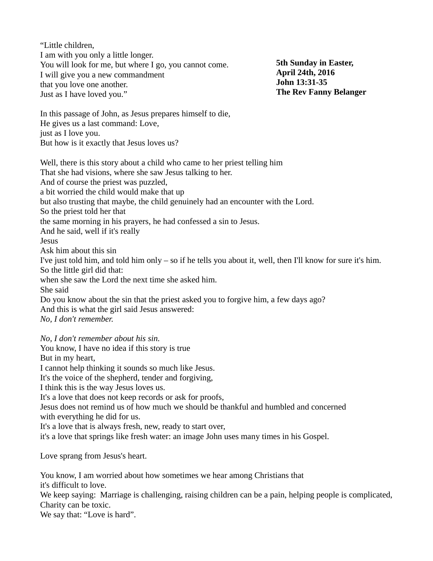"Little children, I am with you only a little longer. You will look for me, but where I go, you cannot come. I will give you a new commandment that you love one another. Just as I have loved you."

**5th Sunday in Easter, April 24th, 2016 John 13:31-35 The Rev Fanny Belanger**

In this passage of John, as Jesus prepares himself to die, He gives us a last command: Love, just as I love you. But how is it exactly that Jesus loves us?

Well, there is this story about a child who came to her priest telling him That she had visions, where she saw Jesus talking to her. And of course the priest was puzzled, a bit worried the child would make that up but also trusting that maybe, the child genuinely had an encounter with the Lord. So the priest told her that the same morning in his prayers, he had confessed a sin to Jesus. And he said, well if it's really Jesus Ask him about this sin I've just told him, and told him only  $-$  so if he tells you about it, well, then I'll know for sure it's him. So the little girl did that: when she saw the Lord the next time she asked him. She said Do you know about the sin that the priest asked you to forgive him, a few days ago? And this is what the girl said Jesus answered: *No, I don't remember.* 

*No, I don't remember about his sin.* You know, I have no idea if this story is true But in my heart, I cannot help thinking it sounds so much like Jesus. It's the voice of the shepherd, tender and forgiving, I think this is the way Jesus loves us. It's a love that does not keep records or ask for proofs, Jesus does not remind us of how much we should be thankful and humbled and concerned with everything he did for us. It's a love that is always fresh, new, ready to start over, it's a love that springs like fresh water: an image John uses many times in his Gospel.

Love sprang from Jesus's heart.

You know, I am worried about how sometimes we hear among Christians that it's difficult to love. We keep saying: Marriage is challenging, raising children can be a pain, helping people is complicated, Charity can be toxic. We say that: "Love is hard".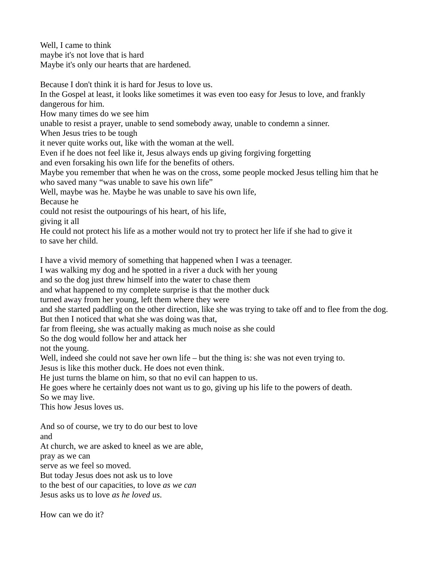Well, I came to think maybe it's not love that is hard Maybe it's only our hearts that are hardened.

Because I don't think it is hard for Jesus to love us.

In the Gospel at least, it looks like sometimes it was even too easy for Jesus to love, and frankly dangerous for him.

How many times do we see him

unable to resist a prayer, unable to send somebody away, unable to condemn a sinner.

When Jesus tries to be tough

it never quite works out, like with the woman at the well.

Even if he does not feel like it, Jesus always ends up giving forgiving forgetting

and even forsaking his own life for the benefits of others.

Maybe you remember that when he was on the cross, some people mocked Jesus telling him that he who saved many "was unable to save his own life"

Well, maybe was he. Maybe he was unable to save his own life,

Because he

could not resist the outpourings of his heart, of his life,

giving it all

He could not protect his life as a mother would not try to protect her life if she had to give it to save her child.

I have a vivid memory of something that happened when I was a teenager.

I was walking my dog and he spotted in a river a duck with her young

and so the dog just threw himself into the water to chase them

and what happened to my complete surprise is that the mother duck

turned away from her young, left them where they were

and she started paddling on the other direction, like she was trying to take off and to flee from the dog. But then I noticed that what she was doing was that,

far from fleeing, she was actually making as much noise as she could

So the dog would follow her and attack her

not the young.

Well, indeed she could not save her own life – but the thing is: she was not even trying to.

Jesus is like this mother duck. He does not even think.

He just turns the blame on him, so that no evil can happen to us.

He goes where he certainly does not want us to go, giving up his life to the powers of death. So we may live.

This how Jesus loves us.

And so of course, we try to do our best to love

and

At church, we are asked to kneel as we are able,

pray as we can

serve as we feel so moved.

But today Jesus does not ask us to love

to the best of our capacities, to love *as we can*

Jesus asks us to love *as he loved us*.

How can we do it?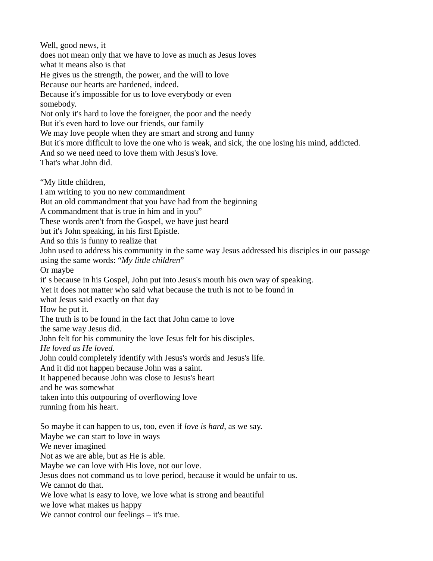Well, good news, it does not mean only that we have to love as much as Jesus loves what it means also is that He gives us the strength, the power, and the will to love Because our hearts are hardened, indeed. Because it's impossible for us to love everybody or even somebody. Not only it's hard to love the foreigner, the poor and the needy But it's even hard to love our friends, our family We may love people when they are smart and strong and funny But it's more difficult to love the one who is weak, and sick, the one losing his mind, addicted. And so we need need to love them with Jesus's love. That's what John did. "My little children, I am writing to you no new commandment But an old commandment that you have had from the beginning A commandment that is true in him and in you" These words aren't from the Gospel, we have just heard but it's John speaking, in his first Epistle. And so this is funny to realize that John used to address his community in the same way Jesus addressed his disciples in our passage using the same words: "*My little children*" Or maybe it' s because in his Gospel, John put into Jesus's mouth his own way of speaking. Yet it does not matter who said what because the truth is not to be found in what Jesus said exactly on that day How he put it. The truth is to be found in the fact that John came to love the same way Jesus did. John felt for his community the love Jesus felt for his disciples. *He loved as He loved.* John could completely identify with Jesus's words and Jesus's life. And it did not happen because John was a saint. It happened because John was close to Jesus's heart and he was somewhat taken into this outpouring of overflowing love running from his heart. So maybe it can happen to us, too, even if *love is hard*, as we say. Maybe we can start to love in ways We never imagined Not as we are able, but as He is able. Maybe we can love with His love, not our love. Jesus does not command us to love period, because it would be unfair to us. We cannot do that. We love what is easy to love, we love what is strong and beautiful we love what makes us happy We cannot control our feelings – it's true.